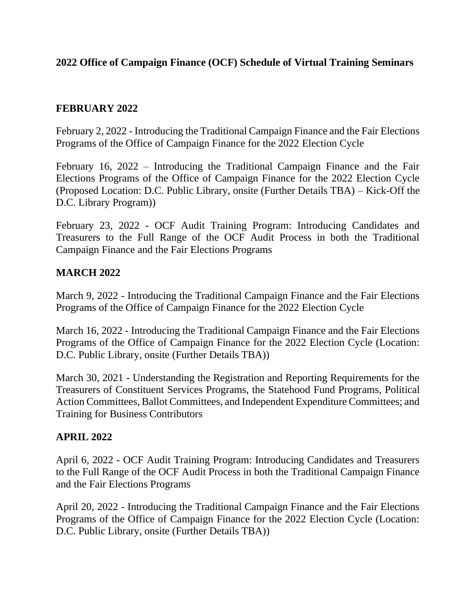## **2022 Office of Campaign Finance (OCF) Schedule of Virtual Training Seminars**

## **FEBRUARY 2022**

February 2, 2022 - Introducing the Traditional Campaign Finance and the Fair Elections Programs of the Office of Campaign Finance for the 2022 Election Cycle

February 16, 2022 – Introducing the Traditional Campaign Finance and the Fair Elections Programs of the Office of Campaign Finance for the 2022 Election Cycle (Proposed Location: D.C. Public Library, onsite (Further Details TBA) – Kick-Off the D.C. Library Program))

February 23, 2022 - OCF Audit Training Program: Introducing Candidates and Treasurers to the Full Range of the OCF Audit Process in both the Traditional Campaign Finance and the Fair Elections Programs

### **MARCH 2022**

March 9, 2022 - Introducing the Traditional Campaign Finance and the Fair Elections Programs of the Office of Campaign Finance for the 2022 Election Cycle

March 16, 2022 - Introducing the Traditional Campaign Finance and the Fair Elections Programs of the Office of Campaign Finance for the 2022 Election Cycle (Location: D.C. Public Library, onsite (Further Details TBA))

March 30, 2021 - Understanding the Registration and Reporting Requirements for the Treasurers of Constituent Services Programs, the Statehood Fund Programs, Political Action Committees, Ballot Committees, and Independent Expenditure Committees; and Training for Business Contributors

## **APRIL 2022**

April 6, 2022 - OCF Audit Training Program: Introducing Candidates and Treasurers to the Full Range of the OCF Audit Process in both the Traditional Campaign Finance and the Fair Elections Programs

April 20, 2022 - Introducing the Traditional Campaign Finance and the Fair Elections Programs of the Office of Campaign Finance for the 2022 Election Cycle (Location: D.C. Public Library, onsite (Further Details TBA))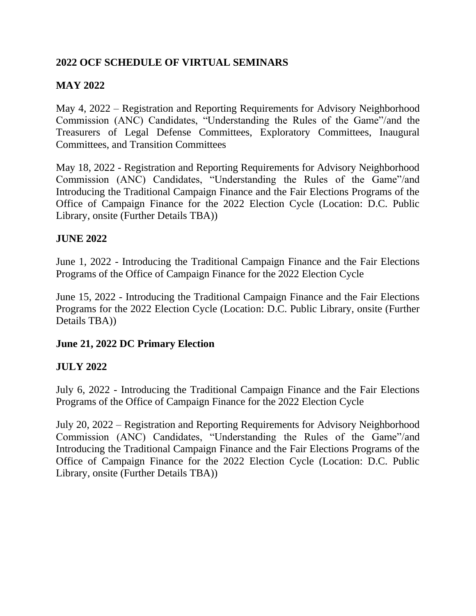# **2022 OCF SCHEDULE OF VIRTUAL SEMINARS**

# **MAY 2022**

May 4, 2022 – Registration and Reporting Requirements for Advisory Neighborhood Commission (ANC) Candidates, "Understanding the Rules of the Game"/and the Treasurers of Legal Defense Committees, Exploratory Committees, Inaugural Committees, and Transition Committees

May 18, 2022 - Registration and Reporting Requirements for Advisory Neighborhood Commission (ANC) Candidates, "Understanding the Rules of the Game"/and Introducing the Traditional Campaign Finance and the Fair Elections Programs of the Office of Campaign Finance for the 2022 Election Cycle (Location: D.C. Public Library, onsite (Further Details TBA))

### **JUNE 2022**

June 1, 2022 - Introducing the Traditional Campaign Finance and the Fair Elections Programs of the Office of Campaign Finance for the 2022 Election Cycle

June 15, 2022 - Introducing the Traditional Campaign Finance and the Fair Elections Programs for the 2022 Election Cycle (Location: D.C. Public Library, onsite (Further Details TBA))

## **June 21, 2022 DC Primary Election**

## **JULY 2022**

July 6, 2022 - Introducing the Traditional Campaign Finance and the Fair Elections Programs of the Office of Campaign Finance for the 2022 Election Cycle

July 20, 2022 – Registration and Reporting Requirements for Advisory Neighborhood Commission (ANC) Candidates, "Understanding the Rules of the Game"/and Introducing the Traditional Campaign Finance and the Fair Elections Programs of the Office of Campaign Finance for the 2022 Election Cycle (Location: D.C. Public Library, onsite (Further Details TBA))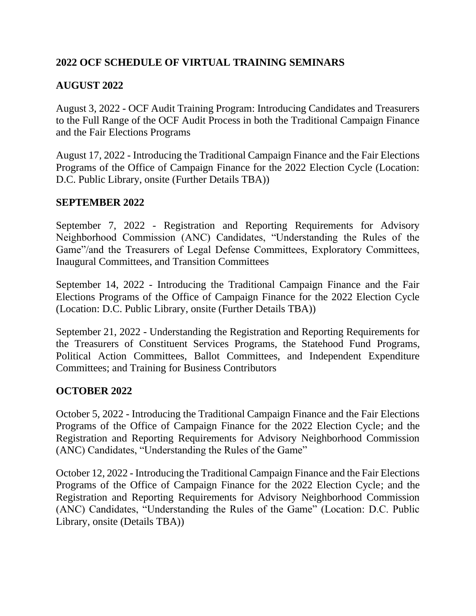## **2022 OCF SCHEDULE OF VIRTUAL TRAINING SEMINARS**

# **AUGUST 2022**

August 3, 2022 - OCF Audit Training Program: Introducing Candidates and Treasurers to the Full Range of the OCF Audit Process in both the Traditional Campaign Finance and the Fair Elections Programs

August 17, 2022 - Introducing the Traditional Campaign Finance and the Fair Elections Programs of the Office of Campaign Finance for the 2022 Election Cycle (Location: D.C. Public Library, onsite (Further Details TBA))

## **SEPTEMBER 2022**

September 7, 2022 - Registration and Reporting Requirements for Advisory Neighborhood Commission (ANC) Candidates, "Understanding the Rules of the Game"/and the Treasurers of Legal Defense Committees, Exploratory Committees, Inaugural Committees, and Transition Committees

September 14, 2022 - Introducing the Traditional Campaign Finance and the Fair Elections Programs of the Office of Campaign Finance for the 2022 Election Cycle (Location: D.C. Public Library, onsite (Further Details TBA))

September 21, 2022 - Understanding the Registration and Reporting Requirements for the Treasurers of Constituent Services Programs, the Statehood Fund Programs, Political Action Committees, Ballot Committees, and Independent Expenditure Committees; and Training for Business Contributors

## **OCTOBER 2022**

October 5, 2022 - Introducing the Traditional Campaign Finance and the Fair Elections Programs of the Office of Campaign Finance for the 2022 Election Cycle; and the Registration and Reporting Requirements for Advisory Neighborhood Commission (ANC) Candidates, "Understanding the Rules of the Game"

October 12, 2022 - Introducing the Traditional Campaign Finance and the Fair Elections Programs of the Office of Campaign Finance for the 2022 Election Cycle; and the Registration and Reporting Requirements for Advisory Neighborhood Commission (ANC) Candidates, "Understanding the Rules of the Game" (Location: D.C. Public Library, onsite (Details TBA))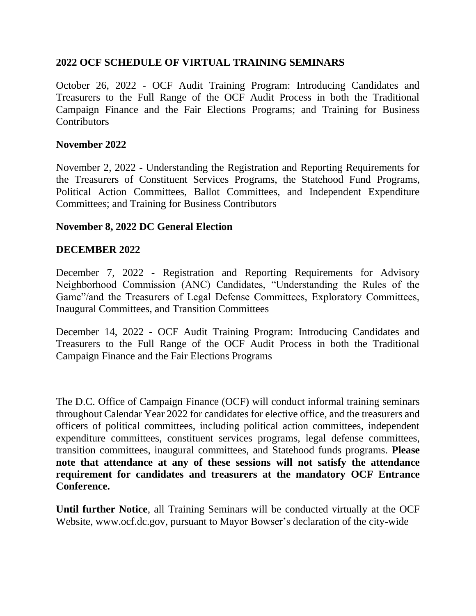### **2022 OCF SCHEDULE OF VIRTUAL TRAINING SEMINARS**

October 26, 2022 - OCF Audit Training Program: Introducing Candidates and Treasurers to the Full Range of the OCF Audit Process in both the Traditional Campaign Finance and the Fair Elections Programs; and Training for Business **Contributors** 

#### **November 2022**

November 2, 2022 - Understanding the Registration and Reporting Requirements for the Treasurers of Constituent Services Programs, the Statehood Fund Programs, Political Action Committees, Ballot Committees, and Independent Expenditure Committees; and Training for Business Contributors

#### **November 8, 2022 DC General Election**

#### **DECEMBER 2022**

December 7, 2022 - Registration and Reporting Requirements for Advisory Neighborhood Commission (ANC) Candidates, "Understanding the Rules of the Game"/and the Treasurers of Legal Defense Committees, Exploratory Committees, Inaugural Committees, and Transition Committees

December 14, 2022 - OCF Audit Training Program: Introducing Candidates and Treasurers to the Full Range of the OCF Audit Process in both the Traditional Campaign Finance and the Fair Elections Programs

The D.C. Office of Campaign Finance (OCF) will conduct informal training seminars throughout Calendar Year 2022 for candidates for elective office, and the treasurers and officers of political committees, including political action committees, independent expenditure committees, constituent services programs, legal defense committees, transition committees, inaugural committees, and Statehood funds programs. **Please note that attendance at any of these sessions will not satisfy the attendance requirement for candidates and treasurers at the mandatory OCF Entrance Conference.**

**Until further Notice**, all Training Seminars will be conducted virtually at the OCF Website, www.ocf.dc.gov, pursuant to Mayor Bowser's declaration of the city-wide